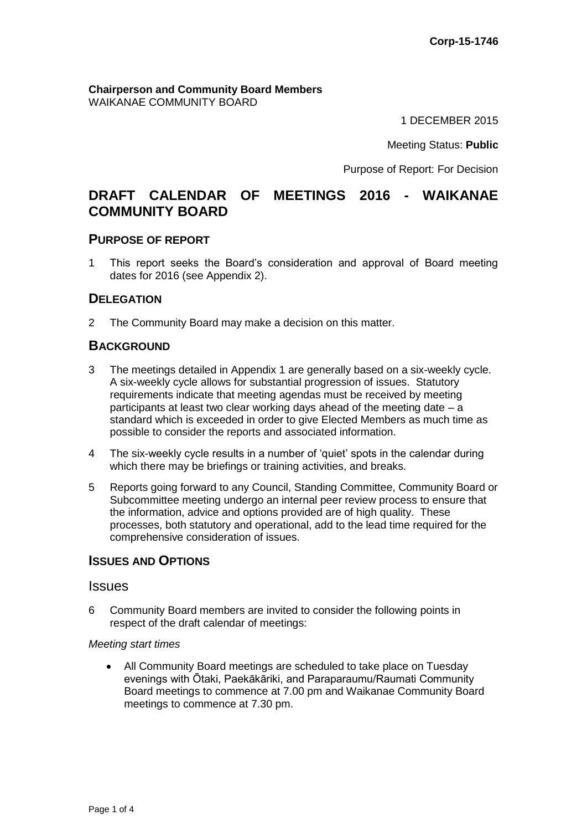**Chairperson and Community Board Members** WAIKANAE COMMUNITY BOARD

1 DECEMBER 2015

Meeting Status: **Public**

Purpose of Report: For Decision

## **DRAFT CALENDAR OF MEETINGS 2016 - WAIKANAE COMMUNITY BOARD**

#### **PURPOSE OF REPORT**

1 This report seeks the Board's consideration and approval of Board meeting dates for 2016 (see Appendix 2).

#### **DELEGATION**

2 The Community Board may make a decision on this matter.

#### **BACKGROUND**

- 3 The meetings detailed in Appendix 1 are generally based on a six-weekly cycle. A six-weekly cycle allows for substantial progression of issues. Statutory requirements indicate that meeting agendas must be received by meeting participants at least two clear working days ahead of the meeting date – a standard which is exceeded in order to give Elected Members as much time as possible to consider the reports and associated information.
- 4 The six-weekly cycle results in a number of 'quiet' spots in the calendar during which there may be briefings or training activities, and breaks.
- 5 Reports going forward to any Council, Standing Committee, Community Board or Subcommittee meeting undergo an internal peer review process to ensure that the information, advice and options provided are of high quality. These processes, both statutory and operational, add to the lead time required for the comprehensive consideration of issues.

#### **ISSUES AND OPTIONS**

#### Issues

6 Community Board members are invited to consider the following points in respect of the draft calendar of meetings:

#### *Meeting start times*

 All Community Board meetings are scheduled to take place on Tuesday evenings with Ōtaki, Paekākāriki, and Paraparaumu/Raumati Community Board meetings to commence at 7.00 pm and Waikanae Community Board meetings to commence at 7.30 pm.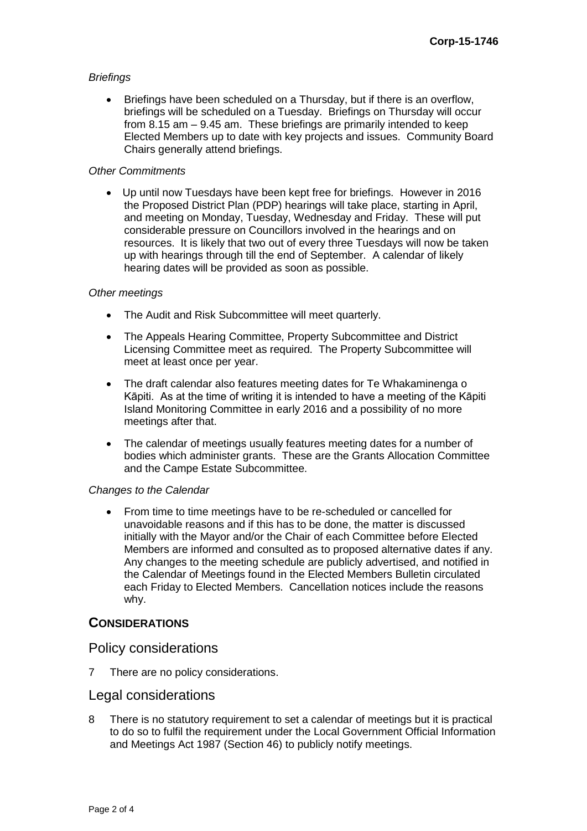#### *Briefings*

 Briefings have been scheduled on a Thursday, but if there is an overflow, briefings will be scheduled on a Tuesday. Briefings on Thursday will occur from 8.15 am – 9.45 am. These briefings are primarily intended to keep Elected Members up to date with key projects and issues. Community Board Chairs generally attend briefings.

#### *Other Commitments*

 Up until now Tuesdays have been kept free for briefings. However in 2016 the Proposed District Plan (PDP) hearings will take place, starting in April, and meeting on Monday, Tuesday, Wednesday and Friday. These will put considerable pressure on Councillors involved in the hearings and on resources. It is likely that two out of every three Tuesdays will now be taken up with hearings through till the end of September. A calendar of likely hearing dates will be provided as soon as possible.

#### *Other meetings*

- The Audit and Risk Subcommittee will meet quarterly.
- The Appeals Hearing Committee, Property Subcommittee and District Licensing Committee meet as required. The Property Subcommittee will meet at least once per year.
- The draft calendar also features meeting dates for Te Whakaminenga o Kāpiti. As at the time of writing it is intended to have a meeting of the Kāpiti Island Monitoring Committee in early 2016 and a possibility of no more meetings after that.
- The calendar of meetings usually features meeting dates for a number of bodies which administer grants. These are the Grants Allocation Committee and the Campe Estate Subcommittee.

#### *Changes to the Calendar*

• From time to time meetings have to be re-scheduled or cancelled for unavoidable reasons and if this has to be done, the matter is discussed initially with the Mayor and/or the Chair of each Committee before Elected Members are informed and consulted as to proposed alternative dates if any. Any changes to the meeting schedule are publicly advertised, and notified in the Calendar of Meetings found in the Elected Members Bulletin circulated each Friday to Elected Members. Cancellation notices include the reasons why.

## **CONSIDERATIONS**

#### Policy considerations

7 There are no policy considerations.

#### Legal considerations

8 There is no statutory requirement to set a calendar of meetings but it is practical to do so to fulfil the requirement under the Local Government Official Information and Meetings Act 1987 (Section 46) to publicly notify meetings.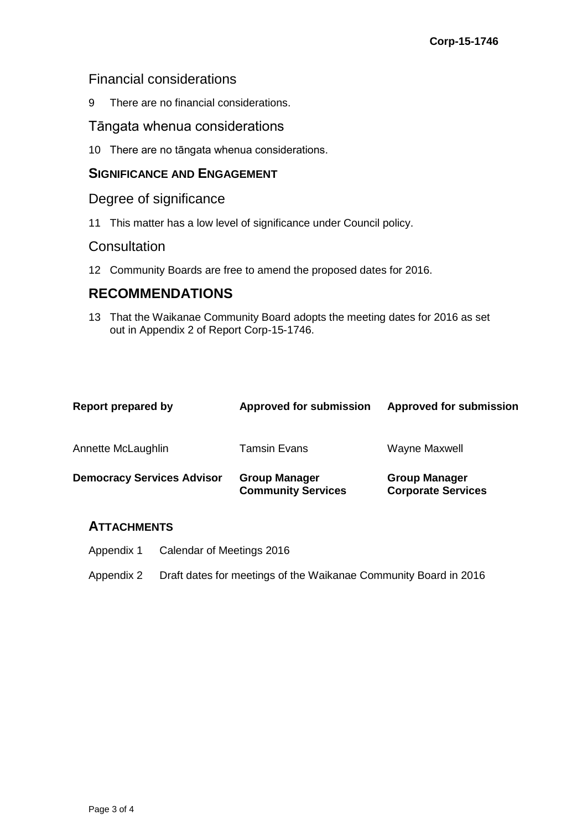### Financial considerations

9 There are no financial considerations.

### Tāngata whenua considerations

10 There are no tāngata whenua considerations.

#### **SIGNIFICANCE AND ENGAGEMENT**

#### Degree of significance

11 This matter has a low level of significance under Council policy.

### **Consultation**

12 Community Boards are free to amend the proposed dates for 2016.

## **RECOMMENDATIONS**

13 That the Waikanae Community Board adopts the meeting dates for 2016 as set out in Appendix 2 of Report Corp-15-1746.

| Report prepared by                | <b>Approved for submission</b>                    | <b>Approved for submission</b>                    |
|-----------------------------------|---------------------------------------------------|---------------------------------------------------|
| Annette McLaughlin                | Tamsin Evans                                      | Wayne Maxwell                                     |
| <b>Democracy Services Advisor</b> | <b>Group Manager</b><br><b>Community Services</b> | <b>Group Manager</b><br><b>Corporate Services</b> |

## **ATTACHMENTS**

Appendix 1 Calendar of Meetings 2016

Appendix 2 Draft dates for meetings of the Waikanae Community Board in 2016